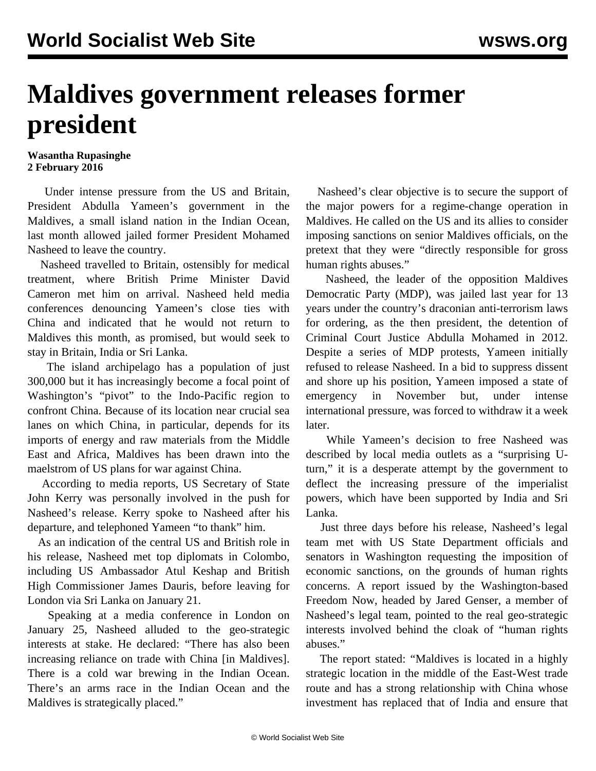## **Maldives government releases former president**

## **Wasantha Rupasinghe 2 February 2016**

 Under intense pressure from the US and Britain, President Abdulla Yameen's government in the Maldives, a small island nation in the Indian Ocean, last month allowed jailed former President Mohamed Nasheed to leave the country.

 Nasheed travelled to Britain, ostensibly for medical treatment, where British Prime Minister David Cameron met him on arrival. Nasheed held media conferences denouncing Yameen's close ties with China and indicated that he would not return to Maldives this month, as promised, but would seek to stay in Britain, India or Sri Lanka.

 The island archipelago has a population of just 300,000 but it has increasingly become a focal point of Washington's "pivot" to the Indo-Pacific region to confront China. Because of its location near crucial sea lanes on which China, in particular, depends for its imports of energy and raw materials from the Middle East and Africa, Maldives has been drawn into the maelstrom of US plans for war against China.

 According to media reports, US Secretary of State John Kerry was personally involved in the push for Nasheed's release. Kerry spoke to Nasheed after his departure, and telephoned Yameen "to thank" him.

 As an indication of the central US and British role in his release, Nasheed met top diplomats in Colombo, including US Ambassador Atul Keshap and British High Commissioner James Dauris, before leaving for London via Sri Lanka on January 21.

 Speaking at a media conference in London on January 25, Nasheed alluded to the geo-strategic interests at stake. He declared: "There has also been increasing reliance on trade with China [in Maldives]. There is a cold war brewing in the Indian Ocean. There's an arms race in the Indian Ocean and the Maldives is strategically placed."

 Nasheed's clear objective is to secure the support of the major powers for a regime-change operation in Maldives. He called on the US and its allies to consider imposing sanctions on senior Maldives officials, on the pretext that they were "directly responsible for gross human rights abuses."

 Nasheed, the leader of the opposition Maldives Democratic Party (MDP), was jailed last year for 13 years under the country's draconian anti-terrorism laws for ordering, as the then president, the detention of Criminal Court Justice Abdulla Mohamed in 2012. Despite a series of MDP protests, Yameen initially refused to release Nasheed. In a bid to suppress dissent and shore up his position, Yameen imposed a state of emergency in November but, under intense international pressure, was forced to withdraw it a week later.

 While Yameen's decision to free Nasheed was described by local media outlets as a "surprising Uturn," it is a desperate attempt by the government to deflect the increasing pressure of the imperialist powers, which have been supported by India and Sri Lanka.

 Just three days before his release, Nasheed's legal team met with US State Department officials and senators in Washington requesting the imposition of economic sanctions, on the grounds of human rights concerns. A report issued by the Washington-based Freedom Now, headed by Jared Genser, a member of Nasheed's legal team, pointed to the real geo-strategic interests involved behind the cloak of "human rights abuses."

 The report stated: "Maldives is located in a highly strategic location in the middle of the East-West trade route and has a strong relationship with China whose investment has replaced that of India and ensure that